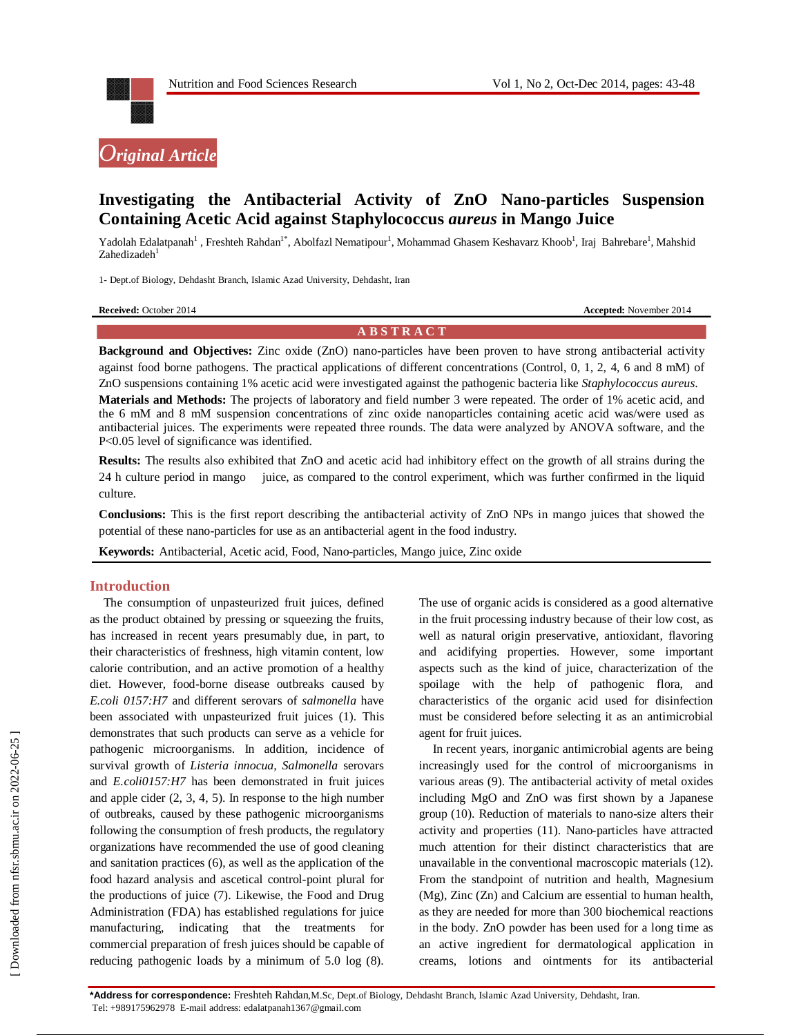



# **Investigating the Antibacterial Activity of ZnO Nano-particles Suspension Containing Acetic Acid against Staphylococcus** *aureus* **in Mango Juice**

Yadolah Edalatpanah<sup>1</sup>, Freshteh Rahdan<sup>1\*</sup>, Abolfazl Nematipour<sup>1</sup>, Mohammad Ghasem Keshavarz Khoob<sup>1</sup>, Iraj Bahrebare<sup>1</sup>, Mahshid Zahedizadeh<sup>1</sup>

1- Dept.of Biology, Dehdasht Branch, Islamic Azad University, Dehdasht, Iran

| <b>Received: October 2014</b> |
|-------------------------------|
|-------------------------------|

**Accepted:** November 2014

#### **A B S T R A C T**

**Background and Objectives:** Zinc oxide (ZnO) nano-particles have been proven to have strong antibacterial activity against food borne pathogens. The practical applications of different concentrations (Control, 0, 1, 2, 4, 6 and 8 mM) of ZnO suspensions containing 1% acetic acid were investigated against the pathogenic bacteria like *Staphylococcus aureus*. **Materials and Methods:** The projects of laboratory and field number 3 were repeated. The order of 1% acetic acid, and the 6 mM and 8 mM suspension concentrations of zinc oxide nanoparticles containing acetic acid was/were used as antibacterial juices. The experiments were repeated three rounds. The data were analyzed by ANOVA software, and the P<0.05 level of significance was identified.

**Results:** The results also exhibited that ZnO and acetic acid had inhibitory effect on the growth of all strains during the 24 h culture period in mango juice, as compared to the control experiment, which was further confirmed in the liquid culture.

**Conclusions:** This is the first report describing the antibacterial activity of ZnO NPs in mango juices that showed the potential of these nano-particles for use as an antibacterial agent in the food industry.

**Keywords:** Antibacterial, Acetic acid, Food, Nano-particles, Mango juice, Zinc oxide

## **Introduction**

The consumption of unpasteurized fruit juices, defined as the product obtained by pressing or squeezing the fruits, has increased in recent years presumably due, in part, to their characteristics of freshness, high vitamin content, low calorie contribution, and an active promotion of a healthy diet. However, food-borne disease outbreaks caused by *E.coli 0157:H7* and different serovars of *salmonella* have been associated with unpasteurized fruit juices (1). This demonstrates that such products can serve as a vehicle for pathogenic microorganisms. In addition, incidence of survival growth of *Listeria innocua, Salmonella* serovars and *E.coli0157:H7* has been demonstrated in fruit juices and apple cider (2, 3, 4, 5). In response to the high number of outbreaks, caused by these pathogenic microorganisms following the consumption of fresh products, the regulatory organizations have recommended the use of good cleaning and sanitation practices (6), as well as the application of the food hazard analysis and ascetical control-point plural for the productions of juice (7). Likewise, the Food and Drug Administration (FDA) has established regulations for juice manufacturing, indicating that the treatments commercial preparation of fresh juices should be capable of reducing pathogenic loads by a minimum of 5.0 log (8).

The use of organic acids is considered as a good alternative in the fruit processing industry because of their low cost, as well as natural origin preservative, antioxidant, flavoring and acidifying properties. However, some important aspects such as the kind of juice, characterization of the spoilage with the help of pathogenic flora, and characteristics of the organic acid used for disinfection must be considered before selecting it as an antimicrobial agent for fruit juices.

In recent years, inorganic antimicrobial agents are being increasingly used for the control of microorganisms in various areas (9). The antibacterial activity of metal oxides including MgO and ZnO was first shown by a Japanese group (10). Reduction of materials to nano-size alters their activity and properties (11). Nano-particles have attracted much attention for their distinct characteristics that are unavailable in the conventional macroscopic materials (12). From the standpoint of nutrition and health, Magnesium (Mg), Zinc (Zn) and Calcium are essential to human health, as they are needed for more than 300 biochemical reactions in the body. ZnO powder has been used for a long time as an active ingredient for dermatological application in creams, lotions and ointments for its antibacterial

**\*Address for correspondence:** Freshteh Rahdan,M.Sc, Dept.of Biology, Dehdasht Branch, Islamic Azad University, Dehdasht, Iran. Tel: +989175962978 E-mail address: edalatpanah1367@gmail.com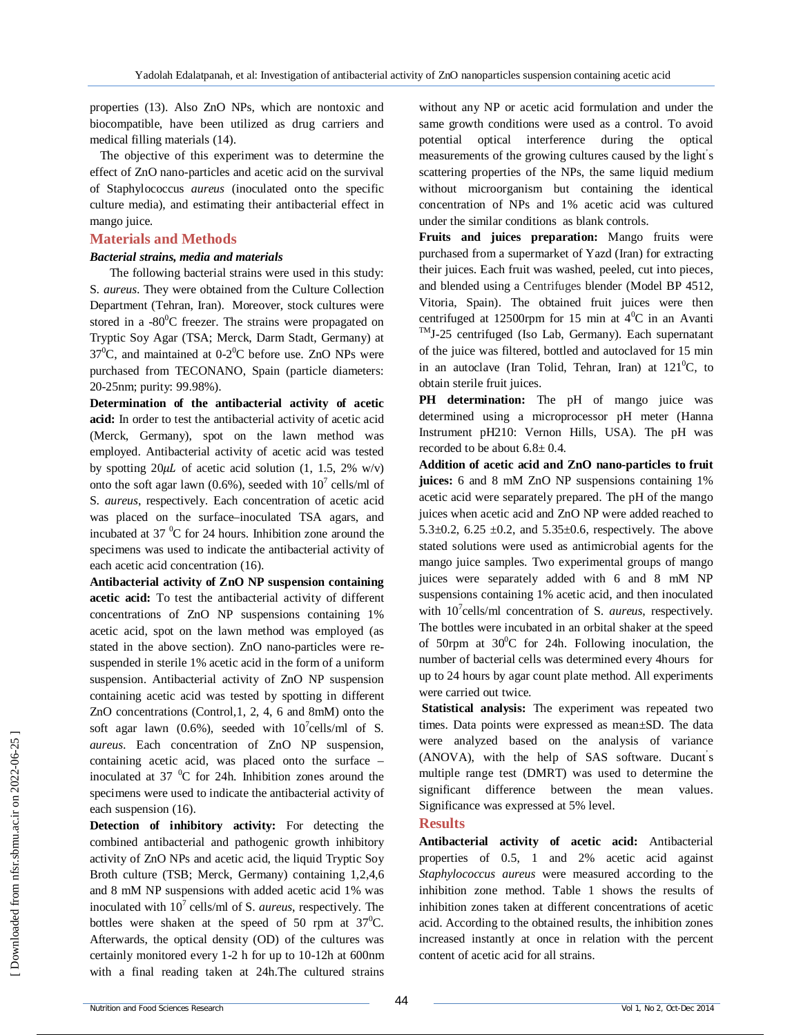properties (13). Also ZnO NPs, which are nontoxic and biocompatible, have been utilized as drug carriers and medical filling materials (14).

The objective of this experiment was to determine the effect of ZnO nano-particles and acetic acid on the survival of Staphylococcus *aureus* (inoculated onto the specific culture media), and estimating their antibacterial effect in mango juice.

#### **Materials and Methods**

#### *Bacterial strains, media and materials*

 The following bacterial strains were used in this study: S. *aureus*. They were obtained from the Culture Collection Department (Tehran, Iran). Moreover, stock cultures were stored in a -80 $\mathrm{^{0}C}$  freezer. The strains were propagated on Tryptic Soy Agar (TSA; Merck, Darm Stadt, Germany) at  $37^{\circ}$ C, and maintained at 0-2 $^{\circ}$ C before use. ZnO NPs were purchased from TECONANO, Spain (particle diameters: 20-25nm; purity: 99.98%).

**Determination of the antibacterial activity of acetic acid:** In order to test the antibacterial activity of acetic acid (Merck, Germany), spot on the lawn method was employed. Antibacterial activity of acetic acid was tested by spotting  $20\mu L$  of acetic acid solution (1, 1.5, 2% w/v) onto the soft agar lawn (0.6%), seeded with  $10^7$  cells/ml of S. *aureus*, respectively. Each concentration of acetic acid was placed on the surface–inoculated TSA agars, and incubated at  $37 \text{ °C}$  for 24 hours. Inhibition zone around the specimens was used to indicate the antibacterial activity of each acetic acid concentration (16).

**Antibacterial activity of ZnO NP suspension containing acetic acid:** To test the antibacterial activity of different concentrations of ZnO NP suspensions containing 1% acetic acid, spot on the lawn method was employed (as stated in the above section). ZnO nano-particles were resuspended in sterile 1% acetic acid in the form of a uniform suspension. Antibacterial activity of ZnO NP suspension containing acetic acid was tested by spotting in different ZnO concentrations (Control,1, 2, 4, 6 and 8mM) onto the soft agar lawn (0.6%), seeded with  $10^7$ cells/ml of S. *aureus*. Each concentration of ZnO NP suspension, containing acetic acid, was placed onto the surface – inoculated at 37 $\mathrm{^{0}C}$  for 24h. Inhibition zones around the specimens were used to indicate the antibacterial activity of each suspension (16).

**Detection of inhibitory activity:** For detecting the combined antibacterial and pathogenic growth inhibitory activity of ZnO NPs and acetic acid, the liquid Tryptic Soy Broth culture (TSB; Merck, Germany) containing 1,2,4,6 and 8 mM NP suspensions with added acetic acid 1% was inoculated with 10<sup>7</sup> cells/ml of S. *aureus*, respectively. The bottles were shaken at the speed of 50 rpm at  $37^{\circ}$ C. Afterwards, the optical density (OD) of the cultures was certainly monitored every 1-2 h for up to 10-12h at 600nm with a final reading taken at 24h.The cultured strains

without any NP or acetic acid formulation and under the same growth conditions were used as a control. To avoid potential optical interference during the optical measurements of the growing cultures caused by the light' s scattering properties of the NPs, the same liquid medium without microorganism but containing the identical concentration of NPs and 1% acetic acid was cultured under the similar conditions as blank controls.

**Fruits and juices preparation:** Mango fruits were purchased from a supermarket of Yazd (Iran) for extracting their juices. Each fruit was washed, peeled, cut into pieces, and blended using a Centrifuges blender (Model BP 4512, Vitoria, Spain). The obtained fruit juices were then centrifuged at 12500rpm for 15 min at  $4^{\circ}$ C in an Avanti TMJ-25 centrifuged (Iso Lab, Germany). Each supernatant of the juice was filtered, bottled and autoclaved for 15 min in an autoclave (Iran Tolid, Tehran, Iran) at  $121^0C$ , to obtain sterile fruit juices.

**PH** determination: The pH of mango juice was determined using a microprocessor pH meter (Hanna Instrument pH210: Vernon Hills, USA). The pH was recorded to be about  $6.8 \pm 0.4$ .

**Addition of acetic acid and ZnO nano-particles to fruit juices:** 6 and 8 mM ZnO NP suspensions containing 1% acetic acid were separately prepared. The pH of the mango juices when acetic acid and ZnO NP were added reached to 5.3 $\pm$ 0.2, 6.25  $\pm$ 0.2, and 5.35 $\pm$ 0.6, respectively. The above stated solutions were used as antimicrobial agents for the mango juice samples. Two experimental groups of mango juices were separately added with 6 and 8 mM NP suspensions containing 1% acetic acid, and then inoculated with 10<sup>7</sup> cells/ml concentration of S. *aureus*, respectively. The bottles were incubated in an orbital shaker at the speed of 50rpm at  $30^{\circ}$ C for 24h. Following inoculation, the number of bacterial cells was determined every 4hours for up to 24 hours by agar count plate method. All experiments were carried out twice.

**Statistical analysis:** The experiment was repeated two times. Data points were expressed as mean±SD. The data were analyzed based on the analysis of variance (ANOVA), with the help of SAS software. Ducant' s multiple range test (DMRT) was used to determine the significant difference between the mean values. Significance was expressed at 5% level.

#### **Results**

**Antibacterial activity of acetic acid:** Antibacterial properties of 0.5, 1 and 2% acetic acid against *Staphylococcus aureus* were measured according to the inhibition zone method. Table 1 shows the results of inhibition zones taken at different concentrations of acetic acid. According to the obtained results, the inhibition zones increased instantly at once in relation with the percent content of acetic acid for all strains.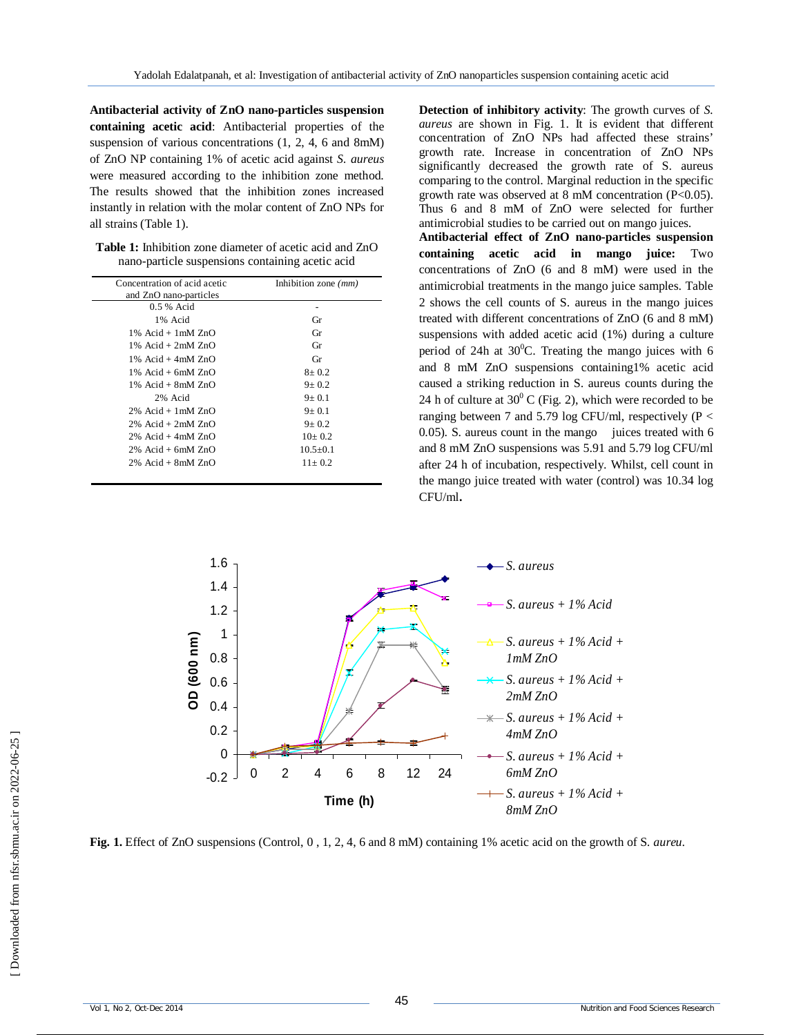**Antibacterial activity of ZnO nano-particles suspension containing acetic acid**: Antibacterial properties of the suspension of various concentrations  $(1, 2, 4, 6$  and 8mM) of ZnO NP containing 1% of acetic acid against *S. aureus* were measured according to the inhibition zone method. The results showed that the inhibition zones increased instantly in relation with the molar content of ZnO NPs for all strains (Table 1).

**Table 1:** Inhibition zone diameter of acetic acid and ZnO nano-particle suspensions containing acetic acid

| Concentration of acid acetic | Inhibition zone $(mm)$ |
|------------------------------|------------------------|
| and ZnO nano-particles       |                        |
| 0.5 % Acid                   |                        |
| 1% Acid                      | Gr                     |
| $1\%$ Acid + $1mM ZnO$       | Gr                     |
| $1\%$ Acid + $2mM$ ZnO       | Gr                     |
| $1\%$ Acid + 4mM $ZnO$       | Gr                     |
| $1\%$ Acid + 6mM $ZnO$       | $8 + 0.2$              |
| $1\%$ Acid + 8mM $ZnO$       | $9 + 0.2$              |
| 2% Acid                      | $9+0.1$                |
| $2\%$ Acid + 1 mM $ZnO$      | $9+0.1$                |
| $2\%$ Acid + $2mM$ $ZnO$     | $9 + 0.2$              |
| $2\%$ Acid + 4mM $ZnO$       | $10+0.2$               |
| $2\%$ Acid + 6mM $ZnO$       | $10.5 + 0.1$           |
| $2\%$ Acid + 8mM $ZnO$       | $11 + 0.2$             |

**Detection of inhibitory activity**: The growth curves of *S. aureus* are shown in Fig. 1. It is evident that different concentration of ZnO NPs had affected these strains' growth rate. Increase in concentration of ZnO NPs significantly decreased the growth rate of S. aureus comparing to the control. Marginal reduction in the specific growth rate was observed at 8 mM concentration (P<0.05). Thus 6 and 8 mM of ZnO were selected for further antimicrobial studies to be carried out on mango juices.

**Antibacterial effect of ZnO nano-particles suspension containing acetic acid in mango juice:** Two concentrations of ZnO (6 and 8 mM) were used in the antimicrobial treatments in the mango juice samples. Table 2 shows the cell counts of S. aureus in the mango juices treated with different concentrations of ZnO (6 and 8 mM) suspensions with added acetic acid (1%) during a culture period of 24h at  $30^{\circ}$ C. Treating the mango juices with 6 and 8 mM ZnO suspensions containing1% acetic acid caused a striking reduction in S. aureus counts during the 24 h of culture at  $30^{\circ}$  C (Fig. 2), which were recorded to be ranging between 7 and 5.79 log CFU/ml, respectively ( $P <$ 0.05). S. aureus count in the mango juices treated with 6 and 8 mM ZnO suspensions was 5.91 and 5.79 log CFU/ml after 24 h of incubation, respectively. Whilst, cell count in the mango juice treated with water (control) was 10.34 log CFU/ml**.**



**Fig. 1.** Effect of ZnO suspensions (Control, 0 , 1, 2, 4, 6 and 8 mM) containing 1% acetic acid on the growth of S. *aureu*.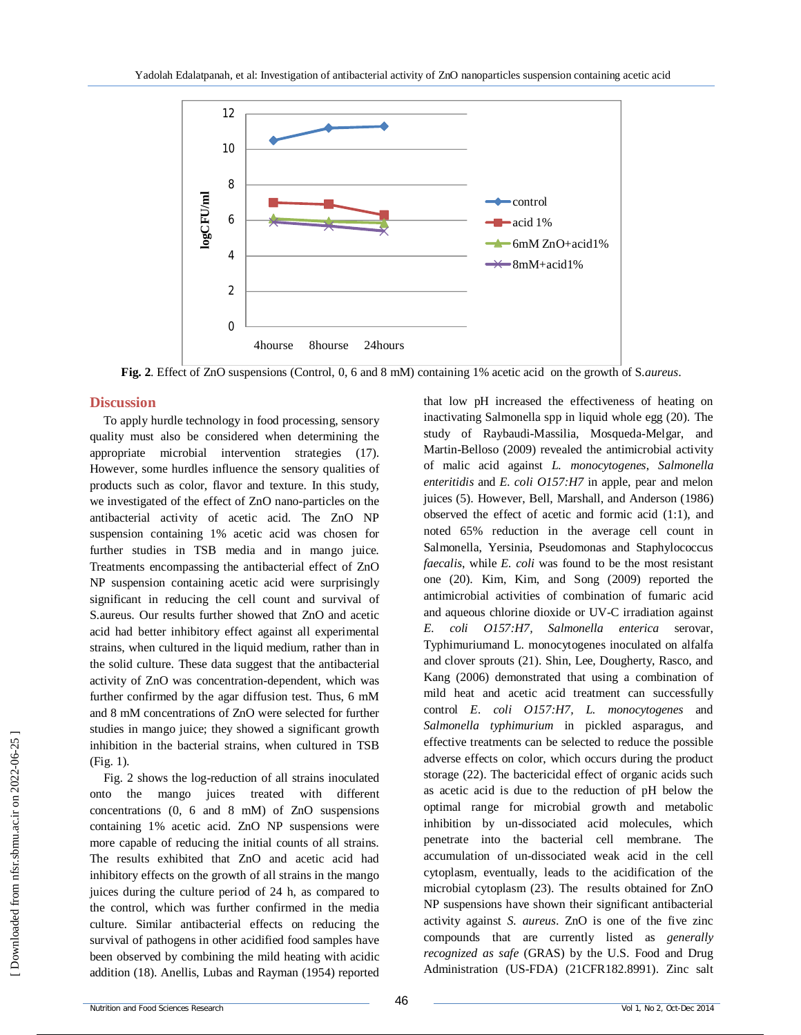

**Fig. 2**. Effect of ZnO suspensions (Control, 0, 6 and 8 mM) containing 1% acetic acid on the growth of S.*aureus*.

## **Discussion**

To apply hurdle technology in food processing, sensory quality must also be considered when determining the appropriate microbial intervention strategies (17). However, some hurdles influence the sensory qualities of products such as color, flavor and texture. In this study, we investigated of the effect of ZnO nano-particles on the antibacterial activity of acetic acid. The ZnO NP suspension containing 1% acetic acid was chosen for further studies in TSB media and in mango juice. Treatments encompassing the antibacterial effect of ZnO NP suspension containing acetic acid were surprisingly significant in reducing the cell count and survival of S.aureus. Our results further showed that ZnO and acetic acid had better inhibitory effect against all experimental strains, when cultured in the liquid medium, rather than in the solid culture. These data suggest that the antibacterial activity of ZnO was concentration-dependent, which was further confirmed by the agar diffusion test. Thus, 6 mM and 8 mM concentrations of ZnO were selected for further studies in mango juice; they showed a significant growth inhibition in the bacterial strains, when cultured in TSB (Fig. 1).

Fig. 2 shows the log-reduction of all strains inoculated onto the mango juices treated with different concentrations (0, 6 and 8 mM) of ZnO suspensions containing 1% acetic acid. ZnO NP suspensions were more capable of reducing the initial counts of all strains. The results exhibited that ZnO and acetic acid had inhibitory effects on the growth of all strains in the mango juices during the culture period of 24 h, as compared to the control, which was further confirmed in the media culture. Similar antibacterial effects on reducing the survival of pathogens in other acidified food samples have been observed by combining the mild heating with acidic addition (18). Anellis, Lubas and Rayman (1954) reported

that low pH increased the effectiveness of heating on inactivating Salmonella spp in liquid whole egg (20). The study of Raybaudi-Massilia, Mosqueda-Melgar, and Martin-Belloso (2009) revealed the antimicrobial activity of malic acid against *L. monocytogenes*, *Salmonella enteritidis* and *E. coli O157:H7* in apple, pear and melon juices (5). However, Bell, Marshall, and Anderson (1986) observed the effect of acetic and formic acid (1:1), and noted 65% reduction in the average cell count in Salmonella, Yersinia, Pseudomonas and Staphylococcus *faecalis*, while *E. coli* was found to be the most resistant one (20). Kim, Kim, and Song (2009) reported the antimicrobial activities of combination of fumaric acid and aqueous chlorine dioxide or UV-C irradiation against *E. coli O157:H7, Salmonella enterica* serovar, Typhimuriumand L. monocytogenes inoculated on alfalfa and clover sprouts (21). Shin, Lee, Dougherty, Rasco, and Kang (2006) demonstrated that using a combination of mild heat and acetic acid treatment can successfully control *E. coli O157:H7, L. monocytogenes* and *Salmonella typhimurium* in pickled asparagus, and effective treatments can be selected to reduce the possible adverse effects on color, which occurs during the product storage (22). The bactericidal effect of organic acids such as acetic acid is due to the reduction of pH below the optimal range for microbial growth and metabolic inhibition by un-dissociated acid molecules, which penetrate into the bacterial cell membrane. The accumulation of un-dissociated weak acid in the cell cytoplasm, eventually, leads to the acidification of the microbial cytoplasm (23). The results obtained for ZnO NP suspensions have shown their significant antibacterial activity against *S. aureus*. ZnO is one of the five zinc compounds that are currently listed as *generally recognized as safe* (GRAS) by the U.S. Food and Drug Administration (US-FDA) (21CFR182.8991). Zinc salt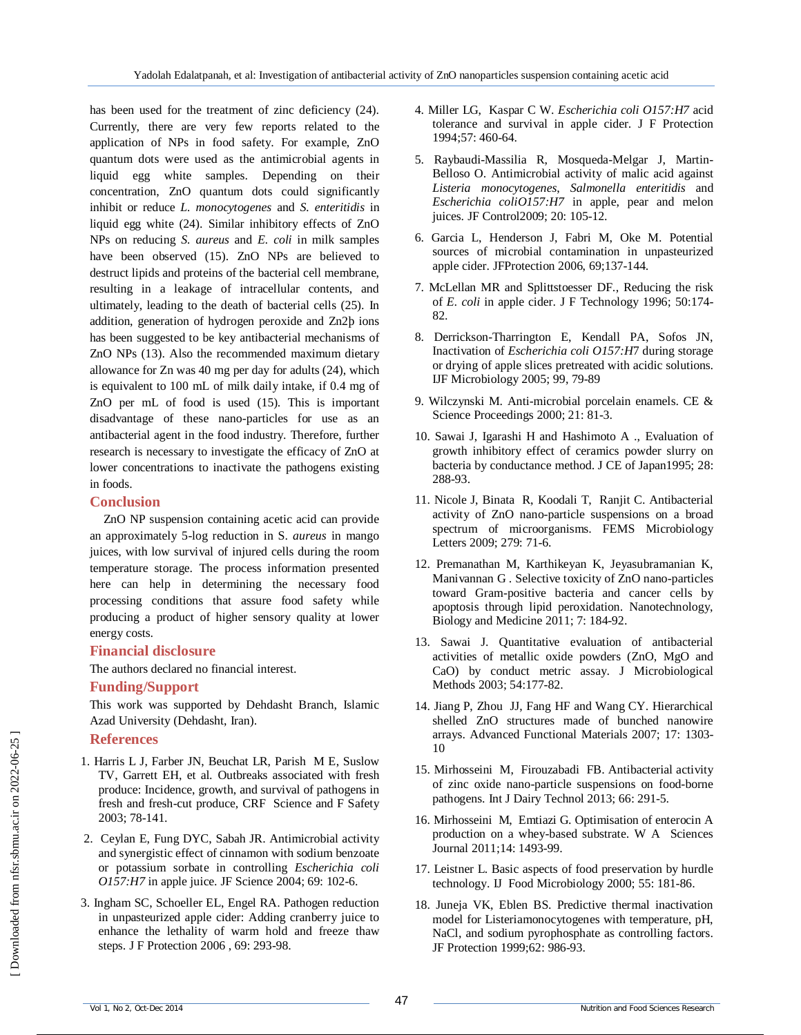has been used for the treatment of zinc deficiency (24). Currently, there are very few reports related to the application of NPs in food safety. For example, ZnO quantum dots were used as the antimicrobial agents in liquid egg white samples. Depending on their concentration, ZnO quantum dots could significantly inhibit or reduce *L. monocytogenes* and *S. enteritidis* in liquid egg white (24). Similar inhibitory effects of ZnO NPs on reducing *S. aureus* and *E. coli* in milk samples have been observed (15). ZnO NPs are believed to destruct lipids and proteins of the bacterial cell membrane, resulting in a leakage of intracellular contents, and ultimately, leading to the death of bacterial cells (25). In addition, generation of hydrogen peroxide and Zn2þ ions has been suggested to be key antibacterial mechanisms of ZnO NPs (13). Also the recommended maximum dietary allowance for Zn was 40 mg per day for adults (24), which is equivalent to 100 mL of milk daily intake, if 0.4 mg of ZnO per mL of food is used (15). This is important disadvantage of these nano-particles for use as an antibacterial agent in the food industry. Therefore, further research is necessary to investigate the efficacy of ZnO at lower concentrations to inactivate the pathogens existing in foods.

## **Conclusion**

ZnO NP suspension containing acetic acid can provide an approximately 5-log reduction in S. *aureus* in mango juices, with low survival of injured cells during the room temperature storage. The process information presented here can help in determining the necessary food processing conditions that assure food safety while producing a product of higher sensory quality at lower energy costs.

## **Financial disclosure**

The authors declared no financial interest.

#### **Funding/Support**

This work was supported by Dehdasht Branch, Islamic Azad University (Dehdasht, Iran).

# **References**

- 1. Harris L J, Farber JN, Beuchat LR, Parish M E, Suslow TV, Garrett EH, et al. Outbreaks associated with fresh produce: Incidence, growth, and survival of pathogens in fresh and fresh-cut produce*,* CRF Science and F Safety 2003; 78-141.
- 2. Ceylan E, Fung DYC, Sabah JR. Antimicrobial activity and synergistic effect of cinnamon with sodium benzoate or potassium sorbate in controlling *Escherichia coli O157:H7* in apple juice. JF Science 2004; 69: 102-6.
- 3. Ingham SC, Schoeller EL, Engel RA. Pathogen reduction in unpasteurized apple cider: Adding cranberry juice to enhance the lethality of warm hold and freeze thaw steps. J F Protection 2006 , 69: 293-98.
- 4. Miller LG, Kaspar C W. *Escherichia coli O157:H7* acid tolerance and survival in apple cider. J F Protection 1994;57: 460-64.
- 5. Raybaudi-Massilia R, Mosqueda-Melgar J, Martin-Belloso O. Antimicrobial activity of malic acid against *Listeria monocytogenes*, *Salmonella enteritidis* and *Escherichia coliO157:H7* in apple, pear and melon juices. JF Control2009; 20: 105-12.
- 6. Garcia L, Henderson J, Fabri M, Oke M. Potential sources of microbial contamination in unpasteurized apple cider. JFProtection 2006, 69;137-144.
- 7. McLellan MR and Splittstoesser DF., Reducing the risk of *E. coli* in apple cider. J F Technology 1996; 50:174- 82.
- 8. Derrickson-Tharrington E, Kendall PA, Sofos JN, Inactivation of *Escherichia coli O157:H*7 during storage or drying of apple slices pretreated with acidic solutions. IJF Microbiology 2005; 99, 79-89
- 9. Wilczynski M. Anti-microbial porcelain enamels. CE & Science Proceedings 2000; 21: 81-3.
- 10. Sawai J, Igarashi H and Hashimoto A ., Evaluation of growth inhibitory effect of ceramics powder slurry on bacteria by conductance method. J CE of Japan1995; 28: 288-93.
- 11. Nicole J, Binata R, Koodali T, Ranjit C. Antibacterial activity of ZnO nano-particle suspensions on a broad spectrum of microorganisms. FEMS Microbiology Letters 2009; 279: 71-6.
- 12. Premanathan M, Karthikeyan K, Jeyasubramanian K, Manivannan G . Selective toxicity of ZnO nano-particles toward Gram-positive bacteria and cancer cells by apoptosis through lipid peroxidation. Nanotechnology, Biology and Medicine 2011; 7: 184-92.
- 13. Sawai J. Quantitative evaluation of antibacterial activities of metallic oxide powders (ZnO, MgO and CaO) by conduct metric assay. J Microbiological Methods 2003; 54:177-82.
- 14. Jiang P, Zhou JJ, Fang HF and Wang CY. Hierarchical shelled ZnO structures made of bunched nanowire arrays. Advanced Functional Materials 2007; 17: 1303- 10
- 15. Mirhosseini M, Firouzabadi FB. Antibacterial activity of zinc oxide nano-particle suspensions on food-borne pathogens. Int J Dairy Technol 2013; 66: 291-5.
- 16. Mirhosseini M, Emtiazi G. Optimisation of enterocin A production on a whey-based substrate. W A Sciences Journal 2011;14: 1493-99.
- 17. Leistner L. Basic aspects of food preservation by hurdle technology. IJ Food Microbiology 2000; 55: 181-86.
- 18. Juneja VK, Eblen BS. Predictive thermal inactivation model for Listeriamonocytogenes with temperature, pH, NaCl, and sodium pyrophosphate as controlling factors. JF Protection 1999;62: 986-93.